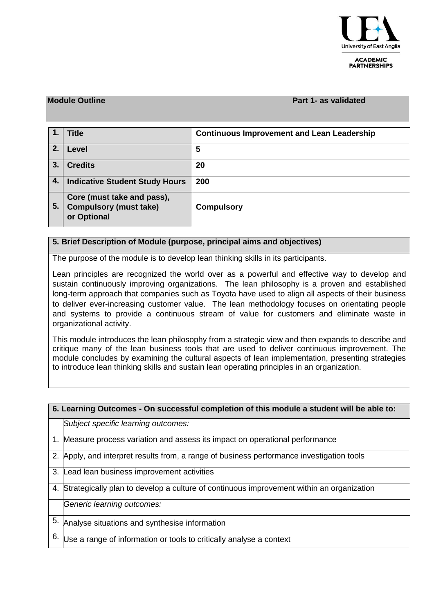

**ACADEMIC PARTNERSHIPS** 

## **Module Outline Part 1- as validated**

|    | <b>Title</b>                                                               | <b>Continuous Improvement and Lean Leadership</b> |
|----|----------------------------------------------------------------------------|---------------------------------------------------|
| 2. | Level                                                                      | 5                                                 |
| 3. | <b>Credits</b>                                                             | 20                                                |
| 4. | <b>Indicative Student Study Hours</b>                                      | 200                                               |
| 5. | Core (must take and pass),<br><b>Compulsory (must take)</b><br>or Optional | <b>Compulsory</b>                                 |

## **5. Brief Description of Module (purpose, principal aims and objectives)**

The purpose of the module is to develop lean thinking skills in its participants.

Lean principles are recognized the world over as a powerful and effective way to develop and sustain continuously improving organizations. The lean philosophy is a proven and established long-term approach that companies such as Toyota have used to align all aspects of their business to deliver ever-increasing customer value. The lean methodology focuses on orientating people and systems to provide a continuous stream of value for customers and eliminate waste in organizational activity.

This module introduces the lean philosophy from a strategic view and then expands to describe and critique many of the lean business tools that are used to deliver continuous improvement. The module concludes by examining the cultural aspects of lean implementation, presenting strategies to introduce lean thinking skills and sustain lean operating principles in an organization.

| 6. Learning Outcomes - On successful completion of this module a student will be able to: |                                                                                           |  |  |  |
|-------------------------------------------------------------------------------------------|-------------------------------------------------------------------------------------------|--|--|--|
|                                                                                           | Subject specific learning outcomes:                                                       |  |  |  |
|                                                                                           | 1. Measure process variation and assess its impact on operational performance             |  |  |  |
|                                                                                           | 2. Apply, and interpret results from, a range of business performance investigation tools |  |  |  |
|                                                                                           | 3. Lead lean business improvement activities                                              |  |  |  |
| 4.                                                                                        | Strategically plan to develop a culture of continuous improvement within an organization  |  |  |  |
|                                                                                           | Generic learning outcomes:                                                                |  |  |  |
| 5.                                                                                        | Analyse situations and synthesise information                                             |  |  |  |
| 6.                                                                                        | Use a range of information or tools to critically analyse a context                       |  |  |  |